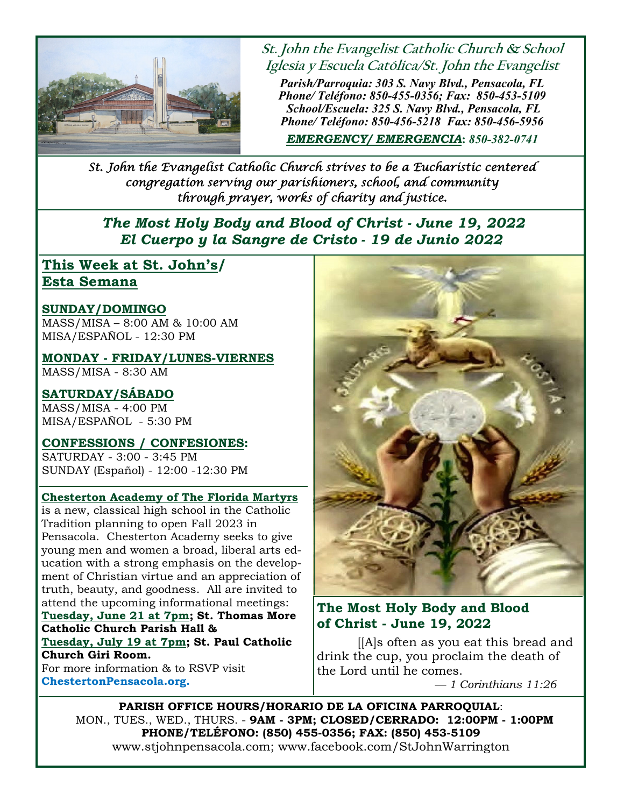

**St. John the Evangelist Catholic Church & School Iglesia y Escuela Católica/St. John the Evangelist** 

*Parish/Parroquia: 303 S. Navy Blvd., Pensacola, FL Phone/ Teléfono: 850-455-0356; Fax: 850-453-5109 School/Escuela: 325 S. Navy Blvd., Pensacola, FL Phone/ Teléfono: 850-456-5218 Fax: 850-456-5956* 

*EMERGENCY/ EMERGENCIA***:** *850-382-0741*

*St. John the Evangelist Catholic Church strives to be a Eucharistic centered congregation serving our parishioners, school, and community through prayer, works of charity and justice.* 

 *The Most Holy Body and Blood of Christ - June 19, 2022 El Cuerpo y la Sangre de Cristo - 19 de Junio 2022*

## **This Week at St. John's/ Esta Semana**

#### **SUNDAY/DOMINGO**

MASS/MISA – 8:00 AM & 10:00 AM MISA/ESPAÑOL - 12:30 PM

**MONDAY - FRIDAY/LUNES-VIERNES**  MASS/MISA - 8:30 AM

**SATURDAY/SÁBADO** MASS/MISA - 4:00 PM MISA/ESPAÑOL - 5:30 PM

#### **CONFESSIONS / CONFESIONES:**

SATURDAY - 3:00 - 3:45 PM SUNDAY (Español) - 12:00 -12:30 PM

#### **Chesterton Academy of The Florida Martyrs**

is a new, classical high school in the Catholic Tradition planning to open Fall 2023 in Pensacola. Chesterton Academy seeks to give young men and women a broad, liberal arts education with a strong emphasis on the development of Christian virtue and an appreciation of truth, beauty, and goodness. All are invited to attend the upcoming informational meetings: **Tuesday, June 21 at 7pm; St. Thomas More Catholic Church Parish Hall & Tuesday, July 19 at 7pm; St. Paul Catholic Church Giri Room.**  For more information & to RSVP visit

**ChestertonPensacola.org.** 



### **The Most Holy Body and Blood of Christ - June 19, 2022**

 [[A]s often as you eat this bread and drink the cup, you proclaim the death of the Lord until he comes.

 *— 1 Corinthians 11:26*

**PARISH OFFICE HOURS/HORARIO DE LA OFICINA PARROQUIAL**: MON., TUES., WED., THURS. - **9AM - 3PM; CLOSED/CERRADO: 12:00PM - 1:00PM PHONE/TELÉFONO: (850) 455-0356; FAX: (850) 453-5109**  www.stjohnpensacola.com; www.facebook.com/StJohnWarrington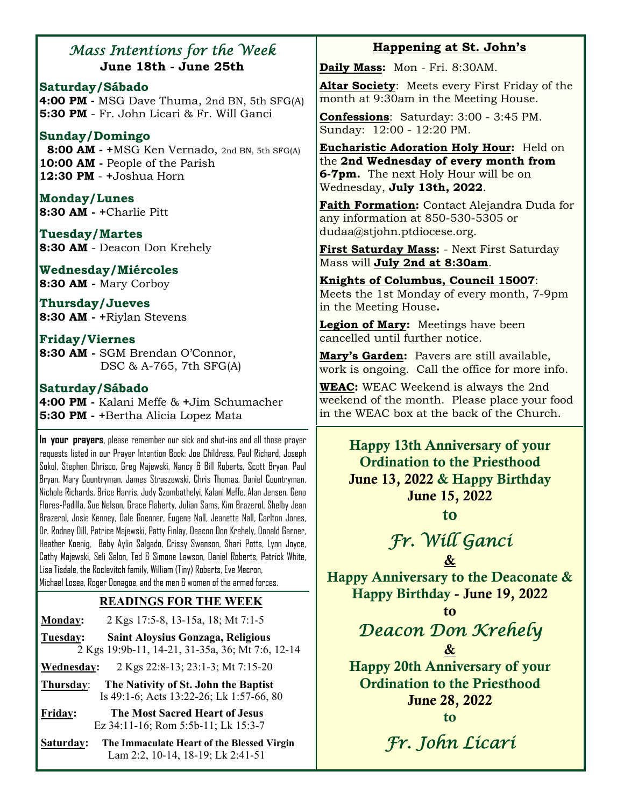## *Mass Intentions for the Week*  **June 18th - June 25th**

**Saturday/Sábado 4:00 PM -** MSG Dave Thuma, 2nd BN, 5th SFG(A) **5:30 PM** - Fr. John Licari & Fr. Will Ganci

### **Sunday/Domingo**

 **8:00 AM - +**MSG Ken Vernado, 2nd BN, 5th SFG(A) **10:00 AM -** People of the Parish **12:30 PM** - **+**Joshua Horn

**Monday/Lunes 8:30 AM - +**Charlie Pitt

**Tuesday/Martes 8:30 AM** - Deacon Don Krehely

**Wednesday/Miércoles 8:30 AM -** Mary Corboy

**Thursday/Jueves 8:30 AM - +**Riylan Stevens

### **Friday/Viernes**

**8:30 AM -** SGM Brendan O'Connor, DSC & A-765, 7th SFG(A)

#### **Saturday/Sábado**

**4:00 PM -** Kalani Meffe & **+**Jim Schumacher **5:30 PM - +**Bertha Alicia Lopez Mata

**In your prayers**, please remember our sick and shut-ins and all those prayer requests listed in our Prayer Intention Book: Joe Childress, Paul Richard, Joseph Sokol, Stephen Chrisco, Greg Majewski, Nancy & Bill Roberts, Scott Bryan, Paul Bryan, Mary Countryman, James Straszewski, Chris Thomas, Daniel Countryman, Nichole Richards, Brice Harris, Judy Szombathelyi, Kalani Meffe, Alan Jensen, Geno Flores-Padilla, Sue Nelson, Grace Flaherty, Julian Sams, Kim Brazerol, Shelby Jean Brazerol, Josie Kenney, Dale Goenner, Eugene Nall, Jeanette Nall, Carlton Jones, Dr. Rodney Dill, Patrice Majewski, Patty Finlay, Deacon Don Krehely, Donald Garner, Heather Koenig, Baby Aylin Salgado, Crissy Swanson, Shari Potts, Lynn Joyce, Cathy Majewski, Seli Salon, Ted & Simone Lawson, Daniel Roberts, Patrick White, Lisa Tisdale, the Roclevitch family, William (Tiny) Roberts, Eve Mecron, Michael Losee, Roger Donagoe, and the men & women of the armed forces.

### **READINGS FOR THE WEEK**

**Monday:** 2 Kgs 17:5-8, 13-15a, 18; Mt 7:1-5

**Tuesday: Saint Aloysius Gonzaga, Religious**  2 Kgs 19:9b-11, 14-21, 31-35a, 36; Mt 7:6, 12-14

**Wednesday:** 2 Kgs 22:8-13; 23:1-3; Mt 7:15-20

**Thursday**: **The Nativity of St. John the Baptist** Is 49:1-6; Acts 13:22-26; Lk 1:57-66, 80

**Fridav: Friday: The Most Sacred Heart of Jesus** Ez 34:11-16; Rom 5:5b-11; Lk 15:3-7

**Saturday: The Immaculate Heart of the Blessed Virgin** Lam 2:2, 10-14, 18-19; Lk 2:41-51

## **Happening at St. John's**

**Daily Mass:** Mon - Fri. 8:30AM.

**Altar Society**: Meets every First Friday of the month at 9:30am in the Meeting House.

**Confessions**: Saturday: 3:00 - 3:45 PM. Sunday: 12:00 - 12:20 PM.

**Eucharistic Adoration Holy Hour:** Held on the **2nd Wednesday of every month from 6-7pm.** The next Holy Hour will be on Wednesday, **July 13th, 2022**.

**Faith Formation:** Contact Alejandra Duda for any information at 850-530-5305 or dudaa@stjohn.ptdiocese.org.

**First Saturday Mass:** - Next First Saturday Mass will **July 2nd at 8:30am**.

**Knights of Columbus, Council 15007**: Meets the 1st Monday of every month, 7-9pm in the Meeting House**.**

**Legion of Mary:** Meetings have been cancelled until further notice.

**Mary's Garden:** Pavers are still available, work is ongoing. Call the office for more info.

**WEAC:** WEAC Weekend is always the 2nd weekend of the month. Please place your food in the WEAC box at the back of the Church.

Happy 13th Anniversary of your Ordination to the Priesthood June 13, 2022 & Happy Birthday June 15, 2022

to

## *Fr. Will Ganci*  &

Happy Anniversary to the Deaconate & Happy Birthday - June 19, 2022

to

## *Deacon Don Krehely*  &

Happy 20th Anniversary of your Ordination to the Priesthood June 28, 2022 to

*Fr. John Licari*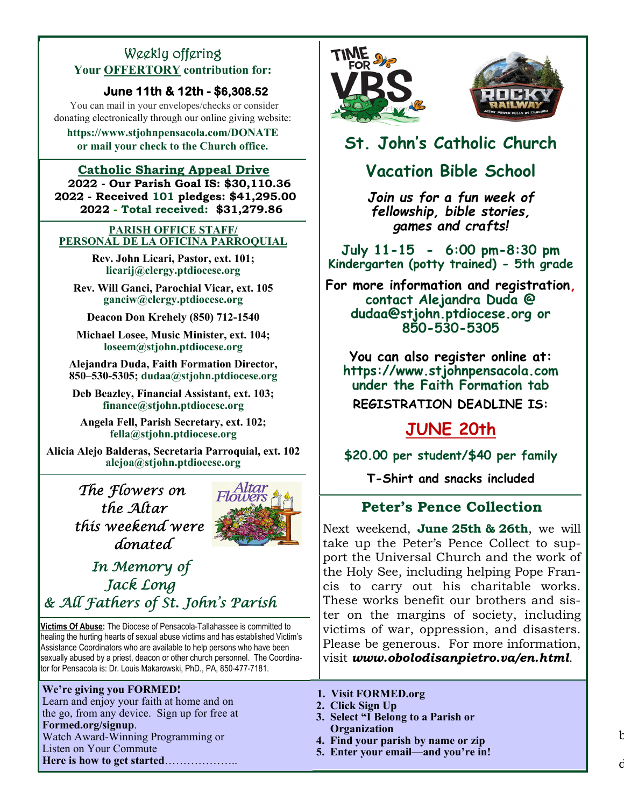## Weekly offering **Your OFFERTORY contribution for:**

### **June 11th & 12th - \$6,308.52**

You can mail in your envelopes/checks or consider donating electronically through our online giving website:

**https://www.stjohnpensacola.com/DONATE or mail your check to the Church office.** 

#### **Catholic Sharing Appeal Drive 2022 - Our Parish Goal IS: \$30,110.36 2022 - Received 101 pledges: \$41,295.00 2022 - Total received: \$31,279.86**

#### **PARISH OFFICE STAFF/ PERSONAL DE LA OFICINA PARROQUIAL**

**Rev. John Licari, Pastor, ext. 101; licarij@clergy.ptdiocese.org** 

**Rev. Will Ganci, Parochial Vicar, ext. 105 ganciw@clergy.ptdiocese.org** 

**Deacon Don Krehely (850) 712-1540** 

**Michael Losee, Music Minister, ext. 104; loseem@stjohn.ptdiocese.org** 

**Alejandra Duda, Faith Formation Director, 850–530-5305; dudaa@stjohn.ptdiocese.org** 

**Deb Beazley, Financial Assistant, ext. 103; finance@stjohn.ptdiocese.org** 

**Angela Fell, Parish Secretary, ext. 102; fella@stjohn.ptdiocese.org** 

**Alicia Alejo Balderas, Secretaria Parroquial, ext. 102 alejoa@stjohn.ptdiocese.org** 

> *The Flowers on the Altar this weekend were donated*



## *In Memory of Jack Long & All Fathers of St. John's Parish*

**Victims Of Abuse:** The Diocese of Pensacola-Tallahassee is committed to healing the hurting hearts of sexual abuse victims and has established Victim's Assistance Coordinators who are available to help persons who have been sexually abused by a priest, deacon or other church personnel. The Coordinator for Pensacola is: Dr. Louis Makarowski, PhD., PA, 850-477-7181.

#### **We're giving you FORMED!**

Learn and enjoy your faith at home and on the go, from any device. Sign up for free at **Formed.org/signup**. Watch Award-Winning Programming or Listen on Your Commute **Here is how to get started**………………..



# **St. John's Catholic Church**

## **Vacation Bible School**

*Join us for a fun week of fellowship, bible stories, games and crafts!* 

**July 11-15 - 6:00 pm-8:30 pm Kindergarten (potty trained) - 5th grade** 

**For more information and registration, contact Alejandra Duda @ dudaa@stjohn.ptdiocese.org or 850-530-5305** 

**You can also register online at: https://www.stjohnpensacola.com under the Faith Formation tab REGISTRATION DEADLINE IS:** 

# **JUNE 20th**

**\$20.00 per student/\$40 per family** 

**T-Shirt and snacks included** 

## **Peter's Pence Collection**

Next weekend, **June 25th & 26th**, we will take up the Peter's Pence Collect to support the Universal Church and the work of the Holy See, including helping Pope Francis to carry out his charitable works. These works benefit our brothers and sister on the margins of society, including victims of war, oppression, and disasters. Please be generous. For more information, visit *www.obolodisanpietro.va/en.html*.

 $\mathfrak b$ 

 $\ddot{c}$ 

- **1. Visit FORMED.org**
- **2. Click Sign Up**
- **3. Select "I Belong to a Parish or Organization**
- **4. Find your parish by name or zip**
- **5. Enter your email—and you're in!**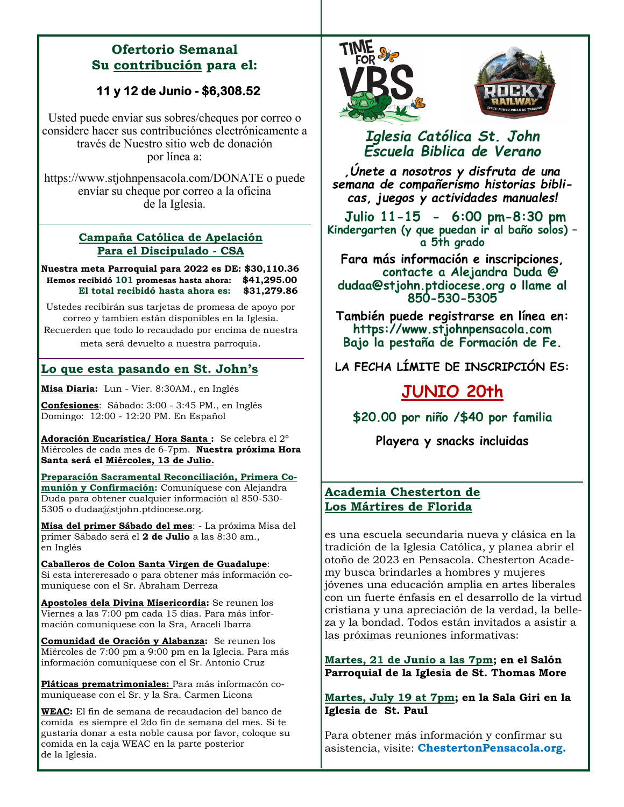### **Ofertorio Semanal Su contribución para el:**

## **11 y 12 de Junio - \$6,308.52**

Usted puede enviar sus sobres/cheques por correo o considere hacer sus contribuciónes electrónicamente a través de Nuestro sitio web de donación por línea a:

https://www.stjohnpensacola.com/DONATE o puede envíar su cheque por correo a la oficina de la Iglesia.

#### **Campaña Católica de Apelación Para el Discipulado - CSA**

**Nuestra meta Parroquial para 2022 es DE: \$30,110.36 Hemos recibidó 101 promesas hasta ahora: \$41,295.00 El total recibidó hasta ahora es: \$31,279.86** 

Ustedes recibirán sus tarjetas de promesa de apoyo por correo y tambien están disponibles en la Iglesia. Recuerden que todo lo recaudado por encima de nuestra

meta será devuelto a nuestra parroquia.

### **Lo que esta pasando en St. John's**

**Misa Diaria:** Lun - Vier. 8:30AM., en Inglés

**Confesiones**: Sábado: 3:00 - 3:45 PM., en Inglés Domingo: 12:00 - 12:20 PM. En Español

**Adoración Eucarística/ Hora Santa :** Se celebra el 2º Miércoles de cada mes de 6-7pm. **Nuestra próxima Hora Santa será el Miércoles, 13 de Julio.** 

**Preparación Sacramental Reconciliación, Primera Comunión y Confirmación:** Comuníquese con Alejandra Duda para obtener cualquier información al 850-530- 5305 o dudaa@stjohn.ptdiocese.org.

**Misa del primer Sábado del mes**: - La próxima Misa del primer Sábado será el **2 de Julio** a las 8:30 am., en Inglés

**Caballeros de Colon Santa Virgen de Guadalupe**: Si esta intereresado o para obtener más información comuniquese con el Sr. Abraham Derreza

**Apostoles dela Divina Misericordia:** Se reunen los Viernes a las 7:00 pm cada 15 días. Para más información comuniquese con la Sra, Araceli Ibarra

**Comunidad de Oración y Alabanza:** Se reunen los Miércoles de 7:00 pm a 9:00 pm en la Iglecia. Para más información comuniquese con el Sr. Antonio Cruz

**Pláticas prematrimoniales:** Para más informacón comuniquease con el Sr. y la Sra. Carmen Licona

**WEAC:** El fin de semana de recaudacion del banco de comida es siempre el 2do fin de semana del mes. Si te gustaria donar a esta noble causa por favor, coloque su comida en la caja WEAC en la parte posterior de la Iglesia.





## *Iglesia Católica St. John Escuela Biblica de Verano*

*,Únete a nosotros y disfruta de una semana de compañerismo historias biblicas, juegos y actividades manuales!* 

**Julio 11-15 - 6:00 pm-8:30 pm Kindergarten (y que puedan ir al baño solos) – a 5th grado** 

**Fara más información e inscripciones, contacte a Alejandra Duda @ dudaa@stjohn.ptdiocese.org o llame al 850-530-5305** 

**También puede registrarse en línea en: https://www.stjohnpensacola.com Bajo la pestaña de Formación de Fe.** 

**LA FECHA LÍMITE DE INSCRIPCIÓN ES:** 

## **JUNIO 20th**

**\$20.00 por niño /\$40 por familia** 

**Playera y snacks incluidas** 

### **Academia Chesterton de Los Mártires de Florida**

es una escuela secundaria nueva y clásica en la tradición de la Iglesia Católica, y planea abrir el otoño de 2023 en Pensacola. Chesterton Academy busca brindarles a hombres y mujeres jóvenes una educación amplia en artes liberales con un fuerte énfasis en el desarrollo de la virtud cristiana y una apreciación de la verdad, la belleza y la bondad. Todos están invitados a asistir a las próximas reuniones informativas:

**Martes, 21 de Junio a las 7pm; en el Salón Parroquial de la Iglesia de St. Thomas More** 

**Martes, July 19 at 7pm; en la Sala Giri en la Iglesia de St. Paul** 

Para obtener más información y confirmar su asistencia, visite: **ChestertonPensacola.org.**